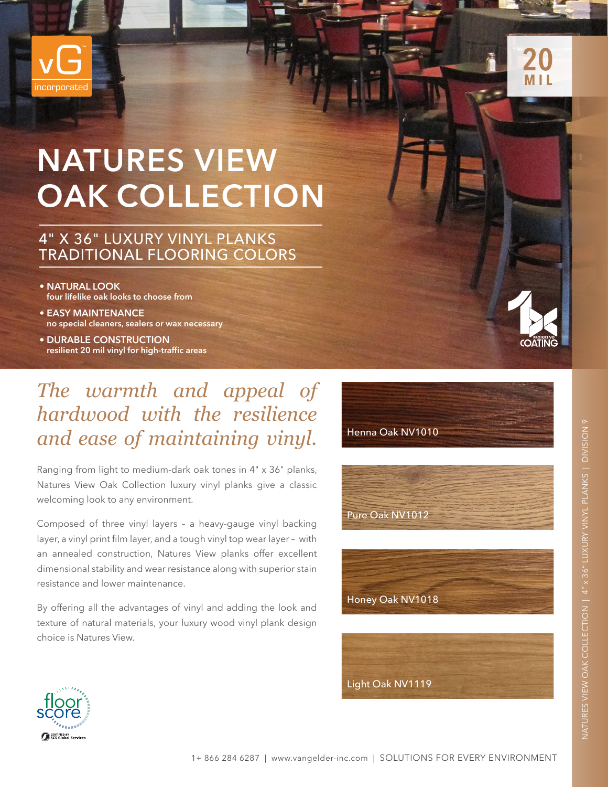



### 4" X 36" LUXURY VINYL PLANKS TRADITIONAL FLOORING COLORS

- **NATURAL LOOK four lifelike oak looks to choose from**
- **EASY MAINTENANCE no special cleaners, sealers or wax necessary**
- **DURABLE CONSTRUCTION resilient 20 mil vinyl for high-traffic areas**

## *The warmth and appeal of hardwood with the resilience and ease of maintaining vinyl.*

Ranging from light to medium-dark oak tones in 4" x 36" planks, Natures View Oak Collection luxury vinyl planks give a classic welcoming look to any environment.

Composed of three vinyl layers – a heavy-gauge vinyl backing layer, a vinyl print film layer, and a tough vinyl top wear layer – with an annealed construction, Natures View planks offer excellent dimensional stability and wear resistance along with superior stain resistance and lower maintenance.

By offering all the advantages of vinyl and adding the look and texture of natural materials, your luxury wood vinyl plank design choice is Natures View.





Honey Oak NV1018

Light Oak NV1119



**20 mil**